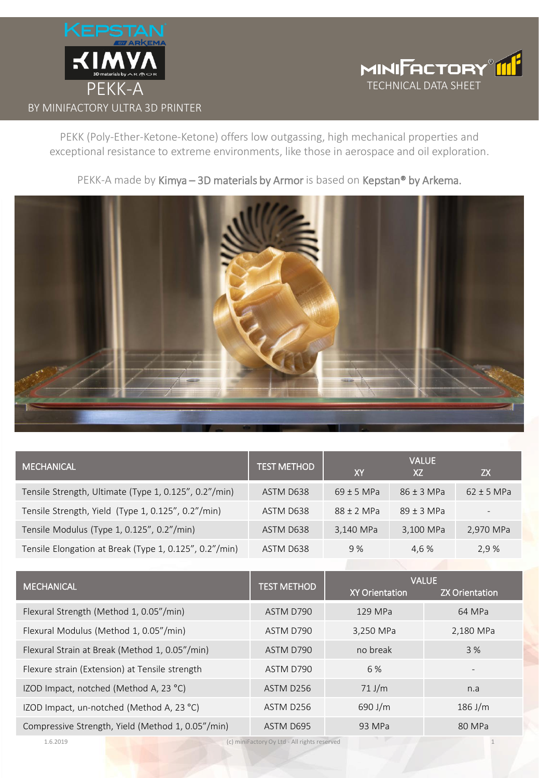



PEKK (Poly-Ether-Ketone-Ketone) offers low outgassing, high mechanical properties and exceptional resistance to extreme environments, like those in aerospace and oil exploration.



PEKK-A made by Kimya - 3D materials by Armor is based on Kepstan® by Arkema.

| <b>MECHANICAL</b>                                      | <b>TEST METHOD</b> | <b>XY</b>             | <b>VALUE</b><br>XZ |              | <b>ZX</b>             |  |
|--------------------------------------------------------|--------------------|-----------------------|--------------------|--------------|-----------------------|--|
| Tensile Strength, Ultimate (Type 1, 0.125", 0.2"/min)  | ASTM D638          | $69 \pm 5$ MPa        | $86 \pm 3$ MPa     |              | $62 \pm 5$ MPa        |  |
| Tensile Strength, Yield (Type 1, 0.125", 0.2"/min)     | ASTM D638          | $88 \pm 2$ MPa        | $89 \pm 3$ MPa     |              |                       |  |
| Tensile Modulus (Type 1, 0.125", 0.2"/min)             | ASTM D638          | 3,140 MPa             |                    | 3,100 MPa    | 2,970 MPa             |  |
| Tensile Elongation at Break (Type 1, 0.125", 0.2"/min) | ASTM D638          | 9%                    | 4,6 %              |              | 2,9 %                 |  |
|                                                        |                    |                       |                    |              |                       |  |
| <b>MECHANICAL</b>                                      | <b>TEST METHOD</b> | <b>XY Orientation</b> |                    | <b>VALUE</b> | <b>ZX Orientation</b> |  |
| Flexural Strength (Method 1, 0.05"/min)                | ASTM D790          | 129 MPa               |                    |              | 64 MPa                |  |
| Flexural Modulus (Method 1, 0.05"/min)                 | ASTM D790          | 3,250 MPa             |                    | 2,180 MPa    |                       |  |
| Flexural Strain at Break (Method 1, 0.05"/min)         | ASTM D790          | no break              |                    | 3 %          |                       |  |
| Flexure strain (Extension) at Tensile strength         | ASTM D790          | 6 %                   |                    |              |                       |  |
| IZOD Impact, notched (Method A, 23 °C)                 | ASTM D256          | $71$ J/m              |                    | n.a          |                       |  |
| IZOD Impact, un-notched (Method A, 23 °C)              | ASTM D256          | 690 J/m               |                    | 186 J/m      |                       |  |
| Compressive Strength, Yield (Method 1, 0.05"/min)      | ASTM D695          | 93 MPa                |                    |              | 80 MPa                |  |

1.6.2019 (c) miniFactory Oy Ltd - All rights reserved